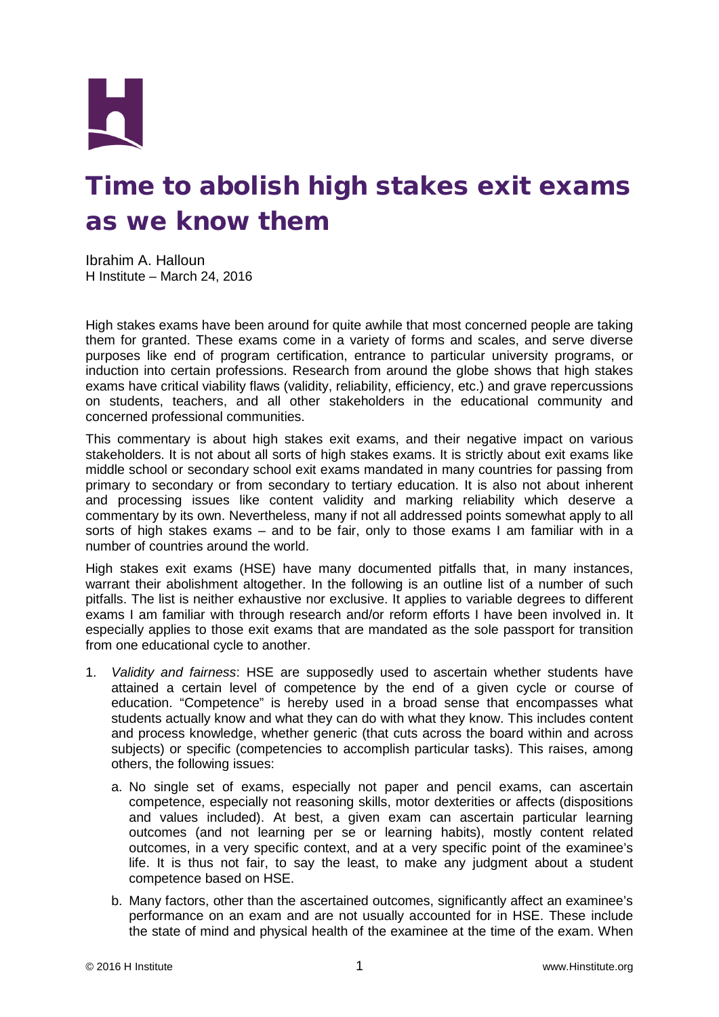

## Time to abolish high stakes exit exams as we know them

Ibrahim A. Halloun H Institute – March 24, 2016

High stakes exams have been around for quite awhile that most concerned people are taking them for granted. These exams come in a variety of forms and scales, and serve diverse purposes like end of program certification, entrance to particular university programs, or induction into certain professions. Research from around the globe shows that high stakes exams have critical viability flaws (validity, reliability, efficiency, etc.) and grave repercussions on students, teachers, and all other stakeholders in the educational community and concerned professional communities.

This commentary is about high stakes exit exams, and their negative impact on various stakeholders. It is not about all sorts of high stakes exams. It is strictly about exit exams like middle school or secondary school exit exams mandated in many countries for passing from primary to secondary or from secondary to tertiary education. It is also not about inherent and processing issues like content validity and marking reliability which deserve a commentary by its own. Nevertheless, many if not all addressed points somewhat apply to all sorts of high stakes exams – and to be fair, only to those exams I am familiar with in a number of countries around the world.

High stakes exit exams (HSE) have many documented pitfalls that, in many instances, warrant their abolishment altogether. In the following is an outline list of a number of such pitfalls. The list is neither exhaustive nor exclusive. It applies to variable degrees to different exams I am familiar with through research and/or reform efforts I have been involved in. It especially applies to those exit exams that are mandated as the sole passport for transition from one educational cycle to another.

- 1. *Validity and fairness*: HSE are supposedly used to ascertain whether students have attained a certain level of competence by the end of a given cycle or course of education. "Competence" is hereby used in a broad sense that encompasses what students actually know and what they can do with what they know. This includes content and process knowledge, whether generic (that cuts across the board within and across subjects) or specific (competencies to accomplish particular tasks). This raises, among others, the following issues:
	- a. No single set of exams, especially not paper and pencil exams, can ascertain competence, especially not reasoning skills, motor dexterities or affects (dispositions and values included). At best, a given exam can ascertain particular learning outcomes (and not learning per se or learning habits), mostly content related outcomes, in a very specific context, and at a very specific point of the examinee's life. It is thus not fair, to say the least, to make any judgment about a student competence based on HSE.
	- b. Many factors, other than the ascertained outcomes, significantly affect an examinee's performance on an exam and are not usually accounted for in HSE. These include the state of mind and physical health of the examinee at the time of the exam. When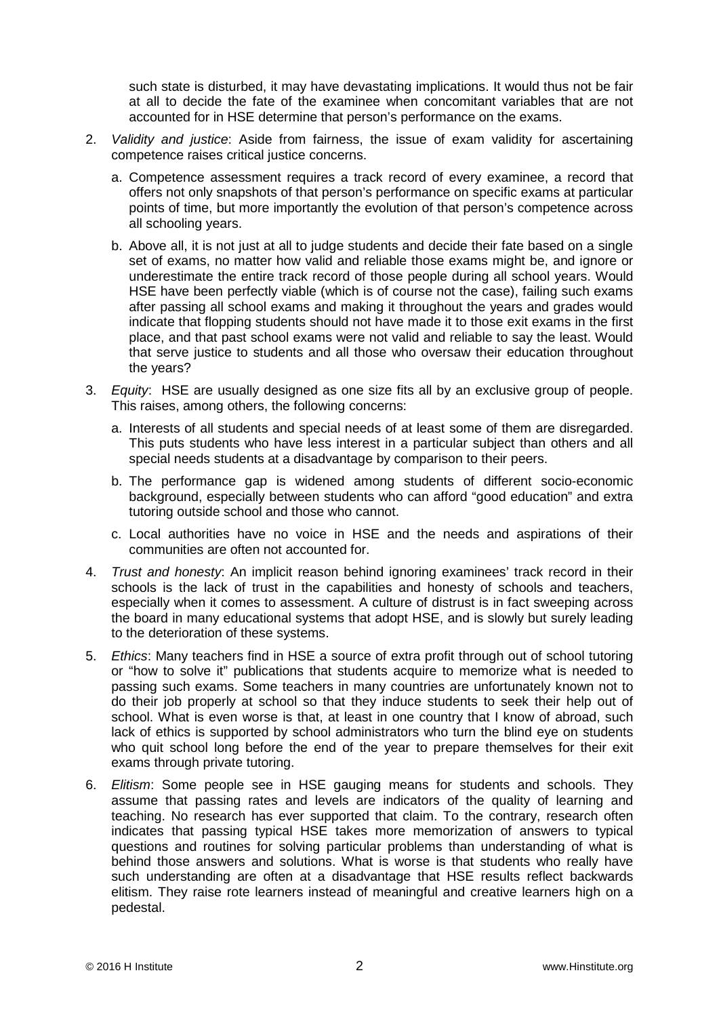such state is disturbed, it may have devastating implications. It would thus not be fair at all to decide the fate of the examinee when concomitant variables that are not accounted for in HSE determine that person's performance on the exams.

- 2. *Validity and justice*: Aside from fairness, the issue of exam validity for ascertaining competence raises critical justice concerns.
	- a. Competence assessment requires a track record of every examinee, a record that offers not only snapshots of that person's performance on specific exams at particular points of time, but more importantly the evolution of that person's competence across all schooling years.
	- b. Above all, it is not just at all to judge students and decide their fate based on a single set of exams, no matter how valid and reliable those exams might be, and ignore or underestimate the entire track record of those people during all school years. Would HSE have been perfectly viable (which is of course not the case), failing such exams after passing all school exams and making it throughout the years and grades would indicate that flopping students should not have made it to those exit exams in the first place, and that past school exams were not valid and reliable to say the least. Would that serve justice to students and all those who oversaw their education throughout the years?
- 3. *Equity*: HSE are usually designed as one size fits all by an exclusive group of people. This raises, among others, the following concerns:
	- a. Interests of all students and special needs of at least some of them are disregarded. This puts students who have less interest in a particular subject than others and all special needs students at a disadvantage by comparison to their peers.
	- b. The performance gap is widened among students of different socio-economic background, especially between students who can afford "good education" and extra tutoring outside school and those who cannot.
	- c. Local authorities have no voice in HSE and the needs and aspirations of their communities are often not accounted for.
- 4. *Trust and honesty*: An implicit reason behind ignoring examinees' track record in their schools is the lack of trust in the capabilities and honesty of schools and teachers, especially when it comes to assessment. A culture of distrust is in fact sweeping across the board in many educational systems that adopt HSE, and is slowly but surely leading to the deterioration of these systems.
- 5. *Ethics*: Many teachers find in HSE a source of extra profit through out of school tutoring or "how to solve it" publications that students acquire to memorize what is needed to passing such exams. Some teachers in many countries are unfortunately known not to do their job properly at school so that they induce students to seek their help out of school. What is even worse is that, at least in one country that I know of abroad, such lack of ethics is supported by school administrators who turn the blind eye on students who quit school long before the end of the year to prepare themselves for their exit exams through private tutoring.
- 6. *Elitism*: Some people see in HSE gauging means for students and schools. They assume that passing rates and levels are indicators of the quality of learning and teaching. No research has ever supported that claim. To the contrary, research often indicates that passing typical HSE takes more memorization of answers to typical questions and routines for solving particular problems than understanding of what is behind those answers and solutions. What is worse is that students who really have such understanding are often at a disadvantage that HSE results reflect backwards elitism. They raise rote learners instead of meaningful and creative learners high on a pedestal.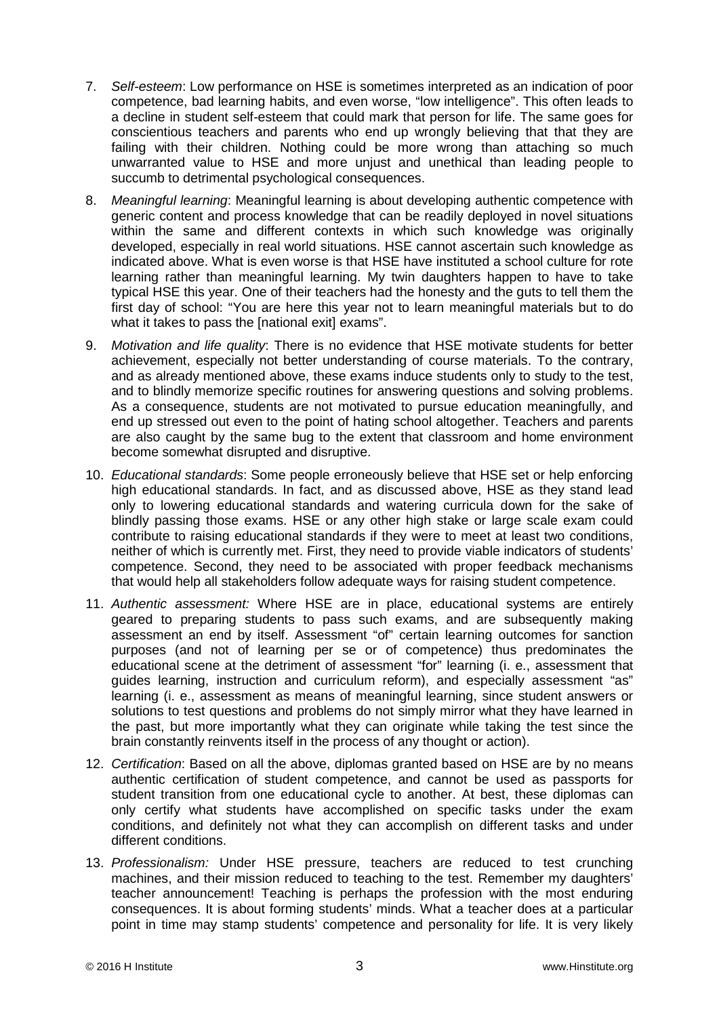- 7. *Self-esteem*: Low performance on HSE is sometimes interpreted as an indication of poor competence, bad learning habits, and even worse, "low intelligence". This often leads to a decline in student self-esteem that could mark that person for life. The same goes for conscientious teachers and parents who end up wrongly believing that that they are failing with their children. Nothing could be more wrong than attaching so much unwarranted value to HSE and more unjust and unethical than leading people to succumb to detrimental psychological consequences.
- 8. *Meaningful learning*: Meaningful learning is about developing authentic competence with generic content and process knowledge that can be readily deployed in novel situations within the same and different contexts in which such knowledge was originally developed, especially in real world situations. HSE cannot ascertain such knowledge as indicated above. What is even worse is that HSE have instituted a school culture for rote learning rather than meaningful learning. My twin daughters happen to have to take typical HSE this year. One of their teachers had the honesty and the guts to tell them the first day of school: "You are here this year not to learn meaningful materials but to do what it takes to pass the [national exit] exams".
- 9. *Motivation and life quality*: There is no evidence that HSE motivate students for better achievement, especially not better understanding of course materials. To the contrary, and as already mentioned above, these exams induce students only to study to the test, and to blindly memorize specific routines for answering questions and solving problems. As a consequence, students are not motivated to pursue education meaningfully, and end up stressed out even to the point of hating school altogether. Teachers and parents are also caught by the same bug to the extent that classroom and home environment become somewhat disrupted and disruptive.
- 10. *Educational standards*: Some people erroneously believe that HSE set or help enforcing high educational standards. In fact, and as discussed above, HSE as they stand lead only to lowering educational standards and watering curricula down for the sake of blindly passing those exams. HSE or any other high stake or large scale exam could contribute to raising educational standards if they were to meet at least two conditions, neither of which is currently met. First, they need to provide viable indicators of students' competence. Second, they need to be associated with proper feedback mechanisms that would help all stakeholders follow adequate ways for raising student competence.
- 11. *Authentic assessment:* Where HSE are in place, educational systems are entirely geared to preparing students to pass such exams, and are subsequently making assessment an end by itself. Assessment "of" certain learning outcomes for sanction purposes (and not of learning per se or of competence) thus predominates the educational scene at the detriment of assessment "for" learning (i. e., assessment that guides learning, instruction and curriculum reform), and especially assessment "as" learning (i. e., assessment as means of meaningful learning, since student answers or solutions to test questions and problems do not simply mirror what they have learned in the past, but more importantly what they can originate while taking the test since the brain constantly reinvents itself in the process of any thought or action).
- 12. *Certification*: Based on all the above, diplomas granted based on HSE are by no means authentic certification of student competence, and cannot be used as passports for student transition from one educational cycle to another. At best, these diplomas can only certify what students have accomplished on specific tasks under the exam conditions, and definitely not what they can accomplish on different tasks and under different conditions.
- 13. *Professionalism:* Under HSE pressure, teachers are reduced to test crunching machines, and their mission reduced to teaching to the test. Remember my daughters' teacher announcement! Teaching is perhaps the profession with the most enduring consequences. It is about forming students' minds. What a teacher does at a particular point in time may stamp students' competence and personality for life. It is very likely